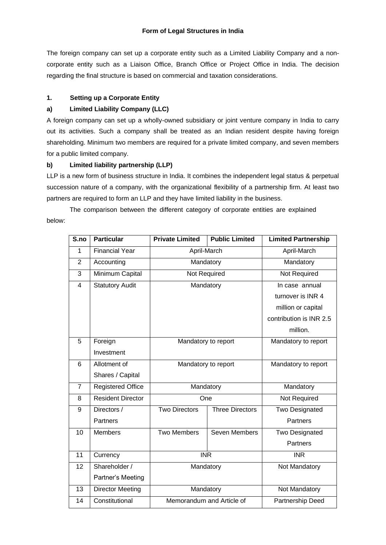The foreign company can set up a corporate entity such as a Limited Liability Company and a noncorporate entity such as a Liaison Office, Branch Office or Project Office in India. The decision regarding the final structure is based on commercial and taxation considerations.

# **1. Setting up a Corporate Entity**

# **a) Limited Liability Company (LLC)**

A foreign company can set up a wholly-owned subsidiary or joint venture company in India to carry out its activities. Such a company shall be treated as an Indian resident despite having foreign shareholding. Minimum two members are required for a private limited company, and seven members for a public limited company.

## **b) Limited liability partnership (LLP)**

LLP is a new form of business structure in India. It combines the independent legal status & perpetual succession nature of a company, with the organizational flexibility of a partnership firm. At least two partners are required to form an LLP and they have limited liability in the business.

The comparison between the different category of corporate entities are explained below:

| S.no           | <b>Particular</b>        | <b>Private Limited</b>    | <b>Public Limited</b>  | <b>Limited Partnership</b> |
|----------------|--------------------------|---------------------------|------------------------|----------------------------|
| $\mathbf{1}$   | <b>Financial Year</b>    | April-March               |                        | April-March                |
| $\overline{2}$ | Accounting               |                           | Mandatory              | Mandatory                  |
| 3              | Minimum Capital          | Not Required              |                        | Not Required               |
| $\overline{4}$ | <b>Statutory Audit</b>   | Mandatory                 |                        | In case annual             |
|                |                          |                           |                        | turnover is INR 4          |
|                |                          |                           |                        | million or capital         |
|                |                          |                           |                        | contribution is INR 2.5    |
|                |                          |                           |                        | million.                   |
| 5              | Foreign                  | Mandatory to report       |                        | Mandatory to report        |
|                | Investment               |                           |                        |                            |
| 6              | Allotment of             | Mandatory to report       |                        | Mandatory to report        |
|                | Shares / Capital         |                           |                        |                            |
| $\overline{7}$ | <b>Registered Office</b> | Mandatory                 |                        | Mandatory                  |
| 8              | Resident Director        | One                       |                        | Not Required               |
| 9              | Directors /              | <b>Two Directors</b>      | <b>Three Directors</b> | <b>Two Designated</b>      |
|                | Partners                 |                           |                        | Partners                   |
| 10             | <b>Members</b>           | <b>Two Members</b>        | Seven Members          | Two Designated             |
|                |                          |                           |                        | Partners                   |
| 11             | Currency                 | <b>INR</b>                |                        | <b>INR</b>                 |
| 12             | Shareholder /            | Mandatory                 |                        | Not Mandatory              |
|                | Partner's Meeting        |                           |                        |                            |
| 13             | <b>Director Meeting</b>  | Mandatory                 |                        | Not Mandatory              |
| 14             | Constitutional           | Memorandum and Article of |                        | Partnership Deed           |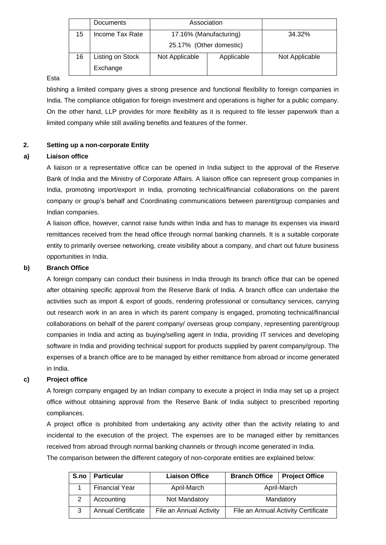|    | Documents                    | Association                                       |            |                |
|----|------------------------------|---------------------------------------------------|------------|----------------|
| 15 | Income Tax Rate              | 17.16% (Manufacturing)<br>25.17% (Other domestic) |            | 34.32%         |
| 16 | Listing on Stock<br>Exchange | Not Applicable                                    | Applicable | Not Applicable |

## Esta

blishing a limited company gives a strong presence and functional flexibility to foreign companies in India. The compliance obligation for foreign investment and operations is higher for a public company. On the other hand, LLP provides for more flexibility as it is required to file lesser paperwork than a limited company while still availing benefits and features of the former.

# **2. Setting up a non-corporate Entity**

## **a) Liaison office**

A liaison or a representative office can be opened in India subject to the approval of the Reserve Bank of India and the Ministry of Corporate Affairs. A liaison office can represent group companies in India, promoting import/export in India, promoting technical/financial collaborations on the parent company or group's behalf and Coordinating communications between parent/group companies and Indian companies.

A liaison office, however, cannot raise funds within India and has to manage its expenses via inward remittances received from the head office through normal banking channels. It is a suitable corporate entity to primarily oversee networking, create visibility about a company, and chart out future business opportunities in India.

#### **b) Branch Office**

A foreign company can conduct their business in India through its branch office that can be opened after obtaining specific approval from the Reserve Bank of India. A branch office can undertake the activities such as import & export of goods, rendering professional or consultancy services, carrying out research work in an area in which its parent company is engaged, promoting technical/financial collaborations on behalf of the parent company/ overseas group company, representing parent/group companies in India and acting as buying/selling agent in India, providing IT services and developing software in India and providing technical support for products supplied by parent company/group. The expenses of a branch office are to be managed by either remittance from abroad or income generated in India.

## **c) Project office**

A foreign company engaged by an Indian company to execute a project in India may set up a project office without obtaining approval from the Reserve Bank of India subject to prescribed reporting compliances.

A project office is prohibited from undertaking any activity other than the activity relating to and incidental to the execution of the project. The expenses are to be managed either by remittances received from abroad through normal banking channels or through income generated in India.

The comparison between the different category of non-corporate entities are explained below:

| S.no | <b>Particular</b>         | <b>Liaison Office</b>   | <b>Branch Office</b> | <b>Project Office</b>               |
|------|---------------------------|-------------------------|----------------------|-------------------------------------|
|      | <b>Financial Year</b>     | April-March             |                      | April-March                         |
|      | Accounting                | Not Mandatory           |                      | Mandatory                           |
| 3    | <b>Annual Certificate</b> | File an Annual Activity |                      | File an Annual Activity Certificate |